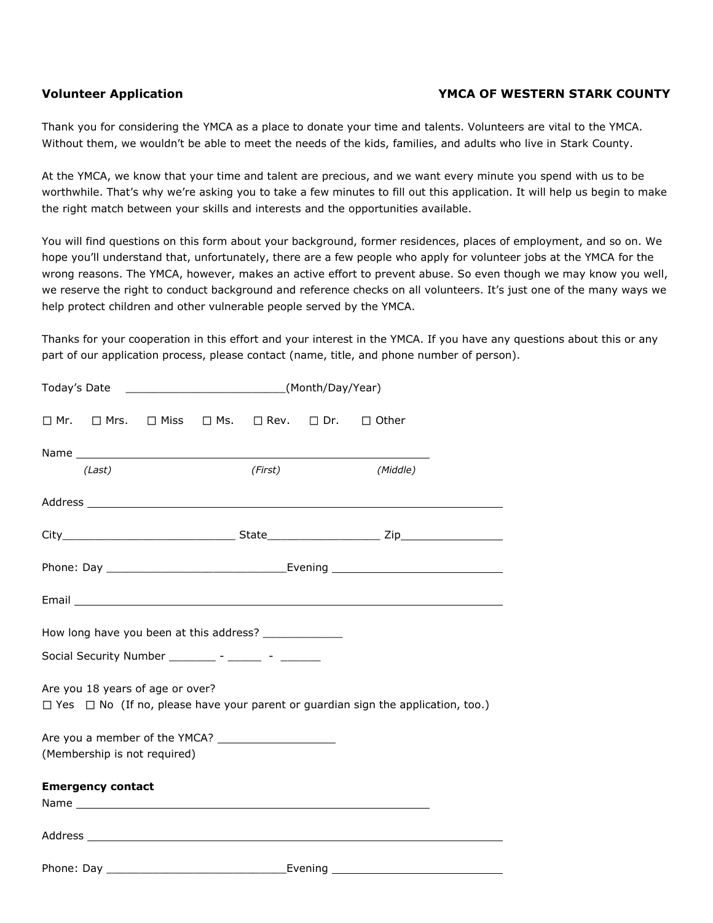## **Volunteer Application YMCA OF WESTERN STARK COUNTY**

Thank you for considering the YMCA as a place to donate your time and talents. Volunteers are vital to the YMCA. Without them, we wouldn't be able to meet the needs of the kids, families, and adults who live in Stark County.

At the YMCA, we know that your time and talent are precious, and we want every minute you spend with us to be worthwhile. That's why we're asking you to take a few minutes to fill out this application. It will help us begin to make the right match between your skills and interests and the opportunities available.

You will find questions on this form about your background, former residences, places of employment, and so on. We hope you'll understand that, unfortunately, there are a few people who apply for volunteer jobs at the YMCA for the wrong reasons. The YMCA, however, makes an active effort to prevent abuse. So even though we may know you well, we reserve the right to conduct background and reference checks on all volunteers. It's just one of the many ways we help protect children and other vulnerable people served by the YMCA.

Thanks for your cooperation in this effort and your interest in the YMCA. If you have any questions about this or any part of our application process, please contact (name, title, and phone number of person).

| $\Box$ Mr. |                                                        | $\square$ Mrs. $\square$ Miss $\square$ Ms. $\square$ Rev. $\square$ Dr. |  |         |  | $\Box$ Other                                                                                                    |  |
|------------|--------------------------------------------------------|--------------------------------------------------------------------------|--|---------|--|-----------------------------------------------------------------------------------------------------------------|--|
|            |                                                        |                                                                          |  |         |  |                                                                                                                 |  |
|            | (Last)                                                 |                                                                          |  | (First) |  | (Middle)                                                                                                        |  |
|            |                                                        |                                                                          |  |         |  |                                                                                                                 |  |
|            |                                                        |                                                                          |  |         |  |                                                                                                                 |  |
|            |                                                        |                                                                          |  |         |  |                                                                                                                 |  |
|            |                                                        |                                                                          |  |         |  |                                                                                                                 |  |
|            | How long have you been at this address? ______________ |                                                                          |  |         |  |                                                                                                                 |  |
|            |                                                        |                                                                          |  |         |  |                                                                                                                 |  |
|            | Are you 18 years of age or over?                       |                                                                          |  |         |  | $\Box$ Yes $\Box$ No (If no, please have your parent or guardian sign the application, too.)                    |  |
|            | (Membership is not required)                           |                                                                          |  |         |  |                                                                                                                 |  |
|            | <b>Emergency contact</b>                               |                                                                          |  |         |  |                                                                                                                 |  |
|            |                                                        |                                                                          |  |         |  | Address and the contract of the contract of the contract of the contract of the contract of the contract of the |  |
|            |                                                        |                                                                          |  |         |  |                                                                                                                 |  |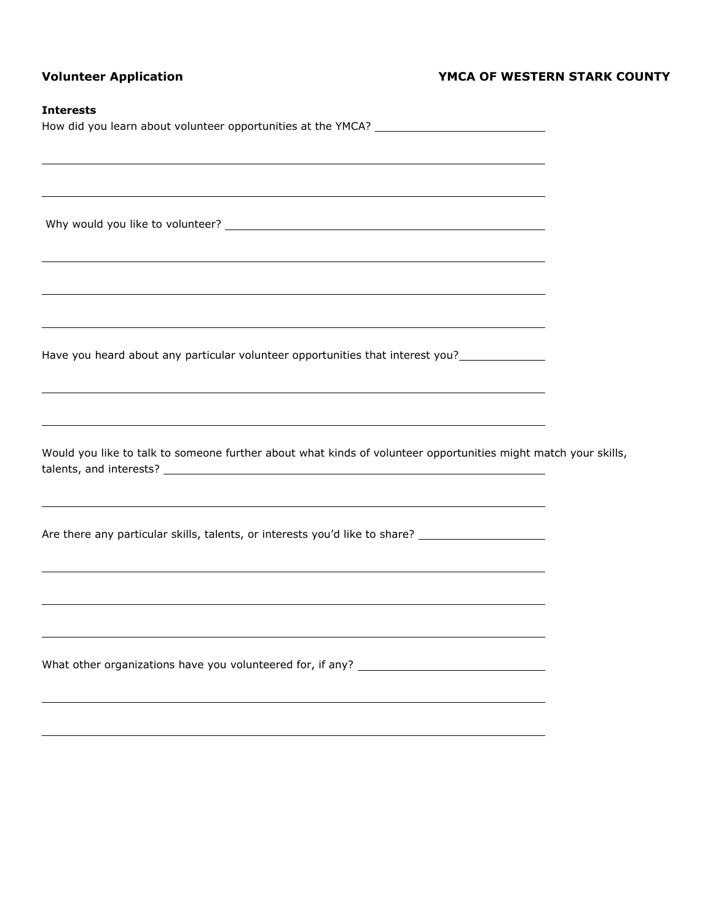## **Volunteer Application YMCA OF WESTERN STARK COUNTY**

### **Interests**

How did you learn about volunteer opportunities at the YMCA?

Why would you like to volunteer?

Have you heard about any particular volunteer opportunities that interest you?

Would you like to talk to someone further about what kinds of volunteer opportunities might match your skills, talents, and interests?

Are there any particular skills, talents, or interests you'd like to share? \_\_\_\_\_\_\_\_\_\_\_\_\_\_\_\_\_\_\_\_\_\_\_\_\_\_\_\_\_\_\_\_\_\_

What other organizations have you volunteered for, if any? \_\_\_\_\_\_\_\_\_\_\_\_\_\_\_\_\_\_\_\_\_\_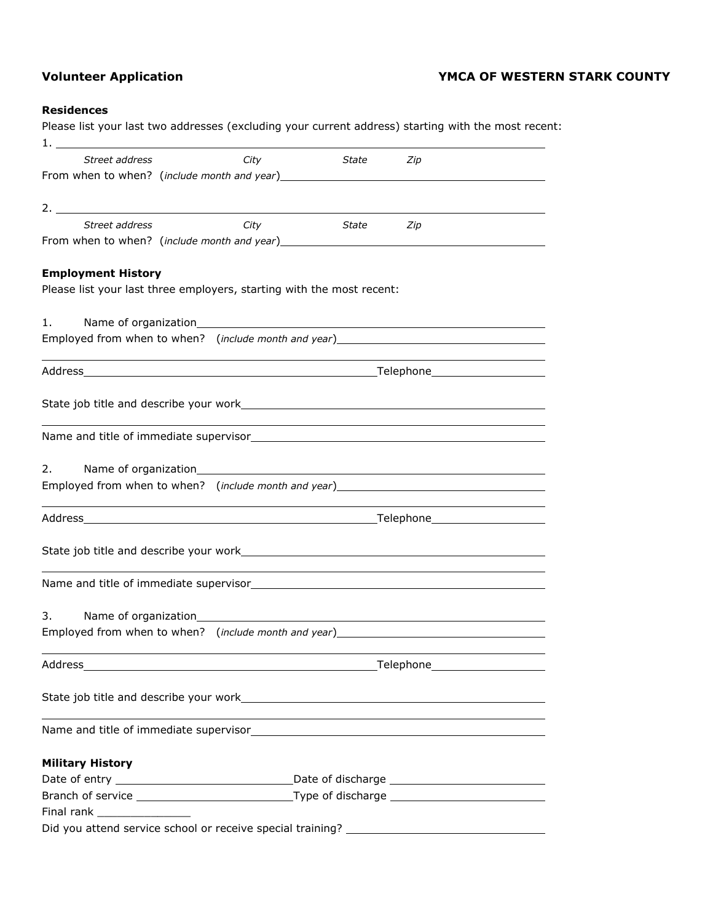# **Volunteer Application YMCA OF WESTERN STARK COUNTY**

## **Residences**

| RESIUEIILES<br>Please list your last two addresses (excluding your current address) starting with the most recent:                                                                                                             |                                                             |              |     |  |
|--------------------------------------------------------------------------------------------------------------------------------------------------------------------------------------------------------------------------------|-------------------------------------------------------------|--------------|-----|--|
| Street address                                                                                                                                                                                                                 | City                                                        | State        | Zip |  |
|                                                                                                                                                                                                                                |                                                             |              |     |  |
|                                                                                                                                                                                                                                |                                                             |              |     |  |
|                                                                                                                                                                                                                                |                                                             |              |     |  |
| Street address                                                                                                                                                                                                                 | City                                                        | <i>State</i> | Zip |  |
|                                                                                                                                                                                                                                |                                                             |              |     |  |
| <b>Employment History</b>                                                                                                                                                                                                      |                                                             |              |     |  |
| Please list your last three employers, starting with the most recent:                                                                                                                                                          |                                                             |              |     |  |
|                                                                                                                                                                                                                                |                                                             |              |     |  |
|                                                                                                                                                                                                                                |                                                             |              |     |  |
| Employed from when to when? (include month and year)_____________________________                                                                                                                                              |                                                             |              |     |  |
|                                                                                                                                                                                                                                | <u> 1989 - Johann Stoff, amerikansk politiker (d. 1989)</u> |              |     |  |
|                                                                                                                                                                                                                                |                                                             |              |     |  |
|                                                                                                                                                                                                                                |                                                             |              |     |  |
|                                                                                                                                                                                                                                |                                                             |              |     |  |
|                                                                                                                                                                                                                                |                                                             |              |     |  |
| 2.                                                                                                                                                                                                                             |                                                             |              |     |  |
| Employed from when to when? (include month and year) ____________________________                                                                                                                                              |                                                             |              |     |  |
|                                                                                                                                                                                                                                |                                                             |              |     |  |
|                                                                                                                                                                                                                                |                                                             |              |     |  |
| State job title and describe your work example and the state of the state of the state of the state of the state of the state of the state of the state of the state of the state of the state of the state of the state of th |                                                             |              |     |  |
|                                                                                                                                                                                                                                |                                                             |              |     |  |
|                                                                                                                                                                                                                                |                                                             |              |     |  |
| 3.                                                                                                                                                                                                                             |                                                             |              |     |  |
| Employed from when to when? (include month and year)_                                                                                                                                                                          |                                                             |              |     |  |
|                                                                                                                                                                                                                                |                                                             |              |     |  |
|                                                                                                                                                                                                                                |                                                             |              |     |  |
|                                                                                                                                                                                                                                |                                                             |              |     |  |
|                                                                                                                                                                                                                                |                                                             |              |     |  |
| <b>Military History</b>                                                                                                                                                                                                        |                                                             |              |     |  |
|                                                                                                                                                                                                                                |                                                             |              |     |  |
|                                                                                                                                                                                                                                |                                                             |              |     |  |
|                                                                                                                                                                                                                                |                                                             |              |     |  |

Did you attend service school or receive special training?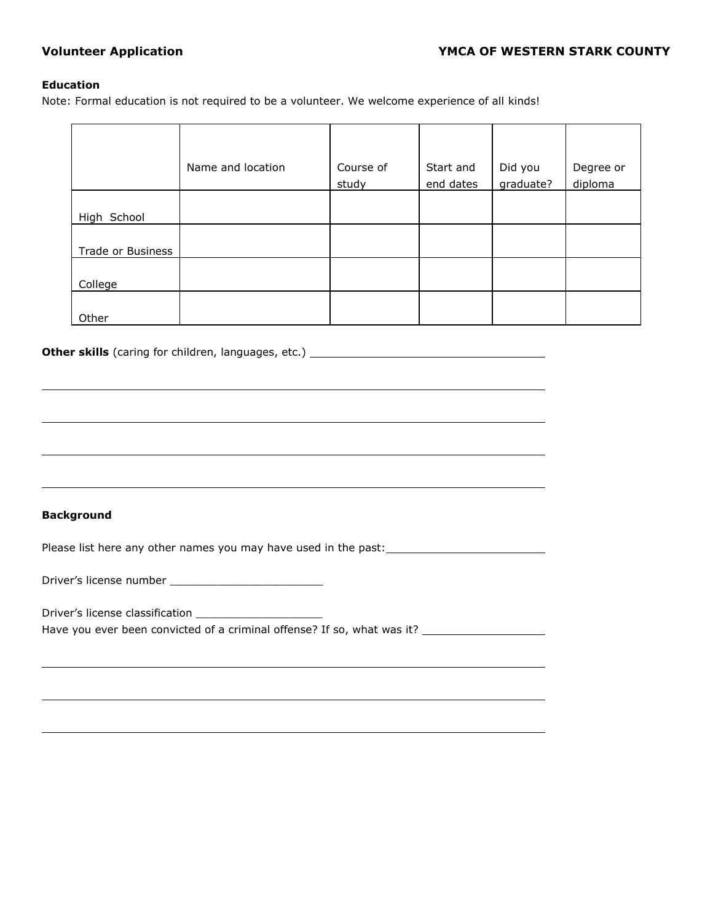## **Education**

Note: Formal education is not required to be a volunteer. We welcome experience of all kinds!

|                   | Name and location | Course of<br>study | Start and<br>end dates | Did you<br>graduate? | Degree or<br>diploma |
|-------------------|-------------------|--------------------|------------------------|----------------------|----------------------|
| High School       |                   |                    |                        |                      |                      |
| Trade or Business |                   |                    |                        |                      |                      |
| College           |                   |                    |                        |                      |                      |
| Other             |                   |                    |                        |                      |                      |

**Other skills** (caring for children, languages, etc.)

### **Background**

Please list here any other names you may have used in the past:

Driver's license number \_\_\_\_\_\_\_\_\_\_\_\_\_\_\_\_\_\_\_\_\_\_\_

Driver's license classification \_\_\_\_\_\_\_\_\_\_\_\_\_\_\_\_\_\_\_ Have you ever been convicted of a criminal offense? If so, what was it?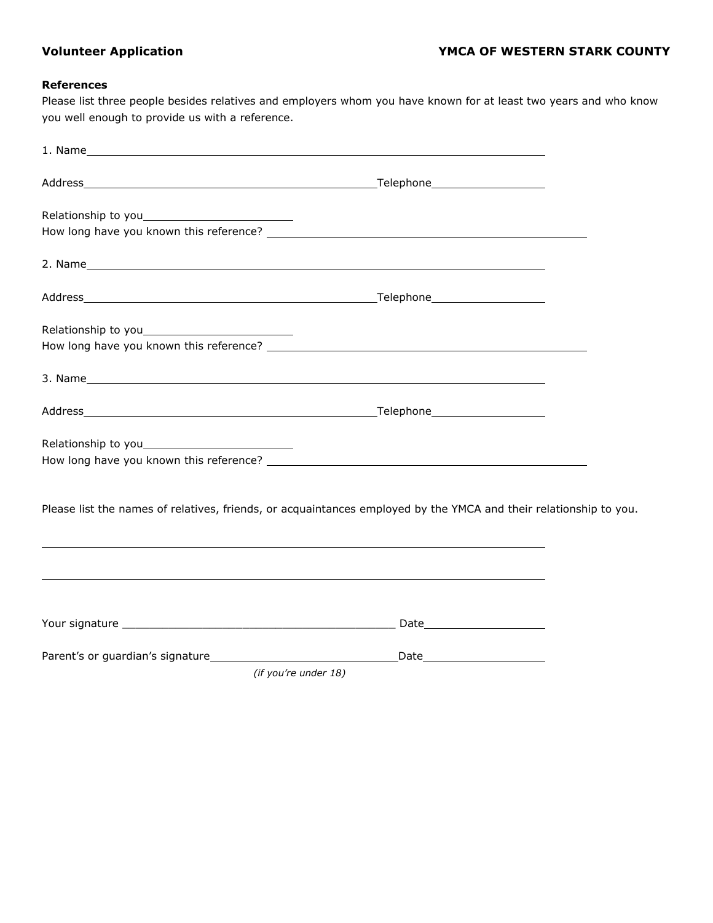# **References**

Please list three people besides relatives and employers whom you have known for at least two years and who know you well enough to provide us with a reference.

| Please list the names of relatives, friends, or acquaintances employed by the YMCA and their relationship to you. |  |
|-------------------------------------------------------------------------------------------------------------------|--|
|                                                                                                                   |  |
| ,我们也不会有什么。""我们的人,我们也不会有什么?""我们的人,我们也不会有什么?""我们的人,我们也不会有什么?""我们的人,我们也不会有什么?""我们的人                                  |  |
|                                                                                                                   |  |
| $(if$ vou're under $18$ )                                                                                         |  |

*(if you're under 18)*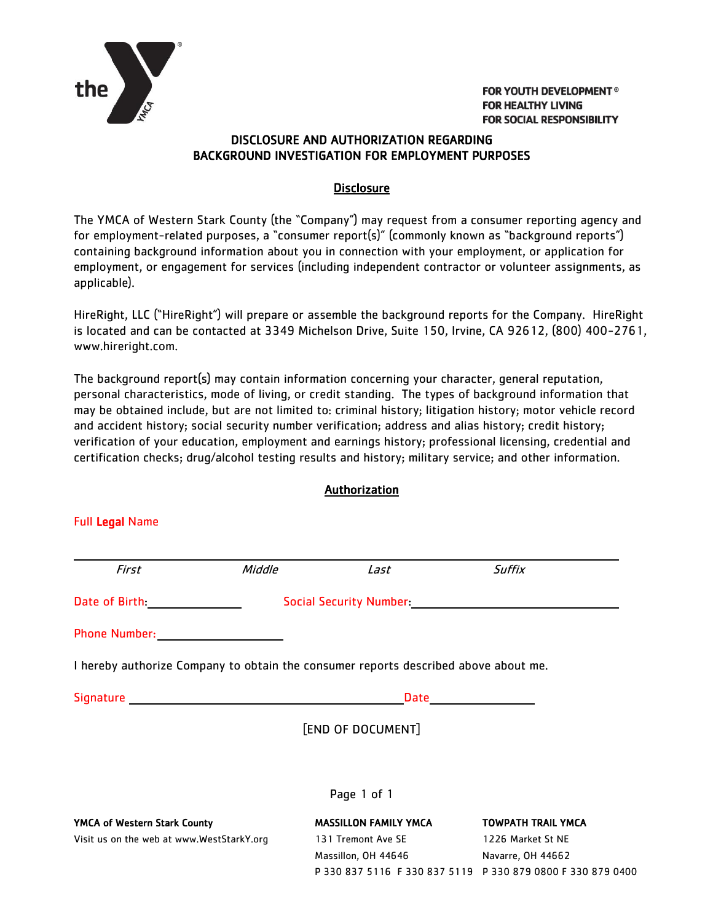

## DISCLOSURE AND AUTHORIZATION REGARDING BACKGROUND INVESTIGATION FOR EMPLOYMENT PURPOSES

## **Disclosure**

The YMCA of Western Stark County (the "Company") may request from a consumer reporting agency and for employment-related purposes, a "consumer report(s)" (commonly known as "background reports") containing background information about you in connection with your employment, or application for employment, or engagement for services (including independent contractor or volunteer assignments, as applicable).

HireRight, LLC ("HireRight") will prepare or assemble the background reports for the Company. HireRight is located and can be contacted at 3349 Michelson Drive, Suite 150, Irvine, CA 92612, (800) 400-2761, www.hireright.com.

The background report(s) may contain information concerning your character, general reputation, personal characteristics, mode of living, or credit standing. The types of background information that may be obtained include, but are not limited to: criminal history; litigation history; motor vehicle record and accident history; social security number verification; address and alias history; credit history; verification of your education, employment and earnings history; professional licensing, credential and certification checks; drug/alcohol testing results and history; military service; and other information.

|                                                                                                  |        | <b>Authorization</b>                                                                |                               |
|--------------------------------------------------------------------------------------------------|--------|-------------------------------------------------------------------------------------|-------------------------------|
| <b>Full Legal Name</b>                                                                           |        |                                                                                     |                               |
| First                                                                                            | Middle | Last                                                                                | <b>Suffix</b>                 |
| Date of Birth: National Property of Birth:                                                       |        |                                                                                     |                               |
|                                                                                                  |        |                                                                                     |                               |
|                                                                                                  |        | I hereby authorize Company to obtain the consumer reports described above about me. |                               |
| Signature <b>Executive Signature Executive Signature Executive Signature Executive Signature</b> |        | Date                                                                                |                               |
|                                                                                                  |        | [END OF DOCUMENT]                                                                   |                               |
|                                                                                                  |        | Page 1 of 1                                                                         |                               |
| YMCA of Western Stark County                                                                     |        | <b>MASSILLON FAMILY YMCA</b>                                                        | <b>TOWPATH TRAIL YMCA</b>     |
| Visit us on the web at www.WestStarkY.org                                                        |        | 131 Tremont Ave SE                                                                  | 1226 Market St NE             |
|                                                                                                  |        | Massillon, OH 44646                                                                 | Navarre, OH 44662             |
|                                                                                                  |        | P 330 837 5116 F 330 837 5119                                                       | P 330 879 0800 F 330 879 0400 |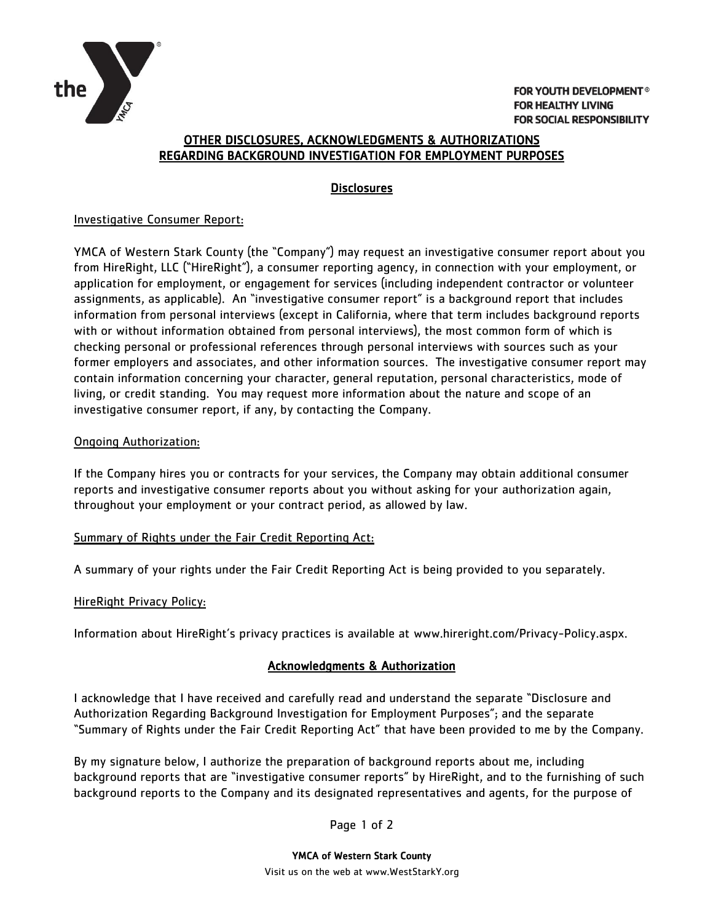

# OTHER DISCLOSURES, ACKNOWLEDGMENTS & AUTHORIZATIONS REGARDING BACKGROUND INVESTIGATION FOR EMPLOYMENT PURPOSES

## **Disclosures**

## Investigative Consumer Report:

YMCA of Western Stark County (the "Company") may request an investigative consumer report about you from HireRight, LLC ("HireRight"), a consumer reporting agency, in connection with your employment, or application for employment, or engagement for services (including independent contractor or volunteer assignments, as applicable). An "investigative consumer report" is a background report that includes information from personal interviews (except in California, where that term includes background reports with or without information obtained from personal interviews), the most common form of which is checking personal or professional references through personal interviews with sources such as your former employers and associates, and other information sources. The investigative consumer report may contain information concerning your character, general reputation, personal characteristics, mode of living, or credit standing. You may request more information about the nature and scope of an investigative consumer report, if any, by contacting the Company.

## Ongoing Authorization:

If the Company hires you or contracts for your services, the Company may obtain additional consumer reports and investigative consumer reports about you without asking for your authorization again, throughout your employment or your contract period, as allowed by law.

## Summary of Rights under the Fair Credit Reporting Act:

A summary of your rights under the Fair Credit Reporting Act is being provided to you separately.

## HireRight Privacy Policy:

Information about HireRight's privacy practices is available at www.hireright.com/Privacy-Policy.aspx.

## Acknowledgments & Authorization

I acknowledge that I have received and carefully read and understand the separate "Disclosure and Authorization Regarding Background Investigation for Employment Purposes"; and the separate "Summary of Rights under the Fair Credit Reporting Act" that have been provided to me by the Company.

By my signature below, I authorize the preparation of background reports about me, including background reports that are "investigative consumer reports" by HireRight, and to the furnishing of such background reports to the Company and its designated representatives and agents, for the purpose of

Page 1 of 2

YMCA of Western Stark County Visit us on the web at www.WestStarkY.org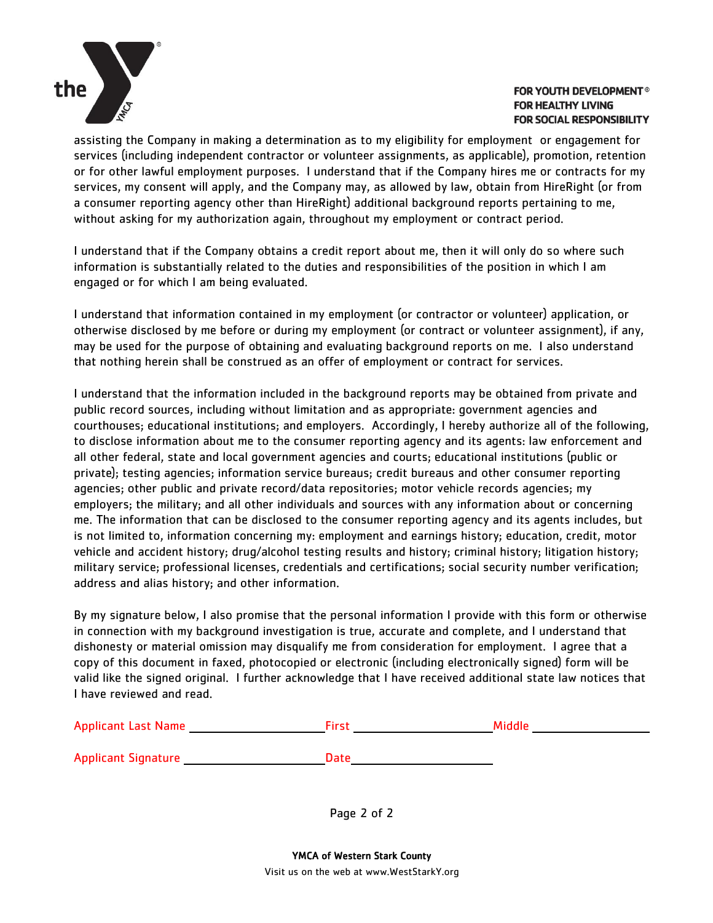

assisting the Company in making a determination as to my eligibility for employment or engagement for services (including independent contractor or volunteer assignments, as applicable), promotion, retention or for other lawful employment purposes. I understand that if the Company hires me or contracts for my services, my consent will apply, and the Company may, as allowed by law, obtain from HireRight (or from a consumer reporting agency other than HireRight) additional background reports pertaining to me, without asking for my authorization again, throughout my employment or contract period.

I understand that if the Company obtains a credit report about me, then it will only do so where such information is substantially related to the duties and responsibilities of the position in which I am engaged or for which I am being evaluated.

I understand that information contained in my employment (or contractor or volunteer) application, or otherwise disclosed by me before or during my employment (or contract or volunteer assignment), if any, may be used for the purpose of obtaining and evaluating background reports on me. I also understand that nothing herein shall be construed as an offer of employment or contract for services.

I understand that the information included in the background reports may be obtained from private and public record sources, including without limitation and as appropriate: government agencies and courthouses; educational institutions; and employers. Accordingly, I hereby authorize all of the following, to disclose information about me to the consumer reporting agency and its agents: law enforcement and all other federal, state and local government agencies and courts; educational institutions (public or private); testing agencies; information service bureaus; credit bureaus and other consumer reporting agencies; other public and private record/data repositories; motor vehicle records agencies; my employers; the military; and all other individuals and sources with any information about or concerning me. The information that can be disclosed to the consumer reporting agency and its agents includes, but is not limited to, information concerning my: employment and earnings history; education, credit, motor vehicle and accident history; drug/alcohol testing results and history; criminal history; litigation history; military service; professional licenses, credentials and certifications; social security number verification; address and alias history; and other information.

By my signature below, I also promise that the personal information I provide with this form or otherwise in connection with my background investigation is true, accurate and complete, and I understand that dishonesty or material omission may disqualify me from consideration for employment. I agree that a copy of this document in faxed, photocopied or electronic (including electronically signed) form will be valid like the signed original. I further acknowledge that I have received additional state law notices that I have reviewed and read.

| <b>Applicant Last Name</b> | First | Middle |  |
|----------------------------|-------|--------|--|
|                            |       |        |  |
| <b>Applicant Signature</b> | Date  |        |  |

Page 2 of 2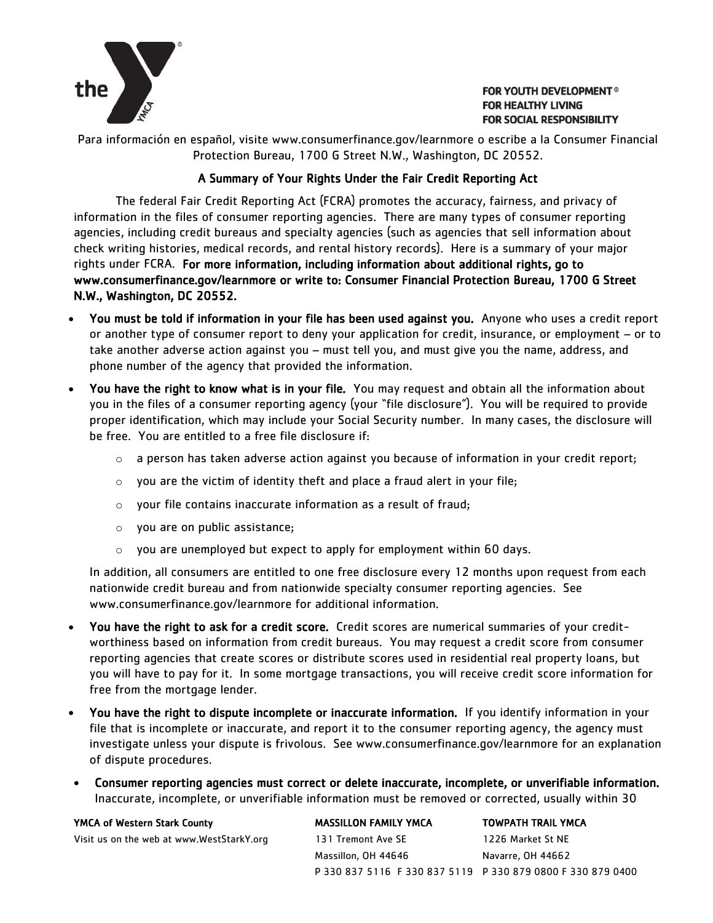

Para información en español, visite www.consumerfinance.gov/learnmore o escribe a la Consumer Financial Protection Bureau, 1700 G Street N.W., Washington, DC 20552.

# A Summary of Your Rights Under the Fair Credit Reporting Act

The federal Fair Credit Reporting Act (FCRA) promotes the accuracy, fairness, and privacy of information in the files of consumer reporting agencies. There are many types of consumer reporting agencies, including credit bureaus and specialty agencies (such as agencies that sell information about check writing histories, medical records, and rental history records). Here is a summary of your major rights under FCRA. For more information, including information about additional rights, go to www.consumerfinance.gov/learnmore or write to: Consumer Financial Protection Bureau, 1700 G Street N.W., Washington, DC 20552.

- You must be told if information in your file has been used against you. Anyone who uses a credit report or another type of consumer report to deny your application for credit, insurance, or employment – or to take another adverse action against you – must tell you, and must give you the name, address, and phone number of the agency that provided the information.
- You have the right to know what is in your file. You may request and obtain all the information about you in the files of a consumer reporting agency (your "file disclosure"). You will be required to provide proper identification, which may include your Social Security number. In many cases, the disclosure will be free. You are entitled to a free file disclosure if:
	- $\circ$  a person has taken adverse action against you because of information in your credit report;
	- $\circ$  you are the victim of identity theft and place a fraud alert in your file;
	- $\circ$  your file contains inaccurate information as a result of fraud;
	- o you are on public assistance;
	- o you are unemployed but expect to apply for employment within 60 days.

In addition, all consumers are entitled to one free disclosure every 12 months upon request from each nationwide credit bureau and from nationwide specialty consumer reporting agencies. See www.consumerfinance.gov/learnmore for additional information.

- You have the right to ask for a credit score. Credit scores are numerical summaries of your creditworthiness based on information from credit bureaus. You may request a credit score from consumer reporting agencies that create scores or distribute scores used in residential real property loans, but you will have to pay for it. In some mortgage transactions, you will receive credit score information for free from the mortgage lender.
- You have the right to dispute incomplete or inaccurate information. If you identify information in your file that is incomplete or inaccurate, and report it to the consumer reporting agency, the agency must investigate unless your dispute is frivolous. See www.consumerfinance.gov/learnmore for an explanation of dispute procedures.
- Consumer reporting agencies must correct or delete inaccurate, incomplete, or unverifiable information. Inaccurate, incomplete, or unverifiable information must be removed or corrected, usually within 30

### YMCA of Western Stark County **MASSILLON FAMILY YMCA** TOWPATH TRAIL YMCA

Visit us on the web at www.WestStarkY.org 131 Tremont Ave SE 1226 Market St NE Massillon, OH 44646 Navarre, OH 44662 P 330 837 5116 F 330 837 5119 P 330 879 0800 F 330 879 0400